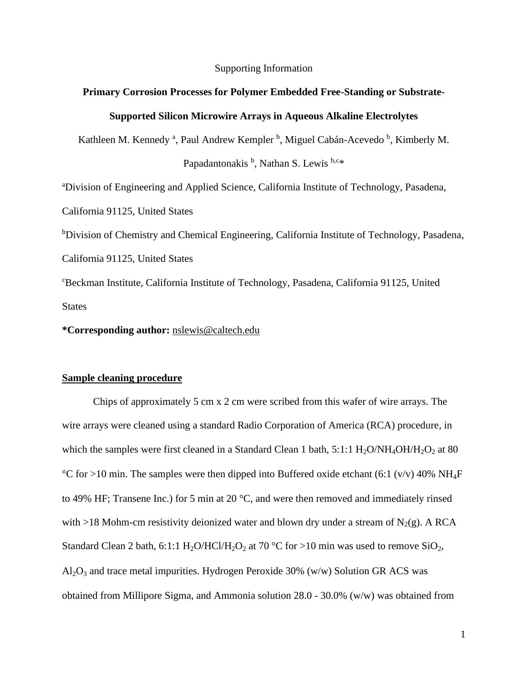#### Supporting Information

# **Primary Corrosion Processes for Polymer Embedded Free-Standing or Substrate-Supported Silicon Microwire Arrays in Aqueous Alkaline Electrolytes**

Kathleen M. Kennedy<sup>a</sup>, Paul Andrew Kempler<sup>b</sup>, Miguel Cabán-Acevedo<sup>b</sup>, Kimberly M.

Papadantonakis <sup>b</sup>, Nathan S. Lewis <sup>b,c\*</sup>

<sup>a</sup>Division of Engineering and Applied Science, California Institute of Technology, Pasadena,

California 91125, United States

b<sub>D</sub>ivision of Chemistry and Chemical Engineering, California Institute of Technology, Pasadena, California 91125, United States

<sup>c</sup>Beckman Institute, California Institute of Technology, Pasadena, California 91125, United **States** 

**\*Corresponding author:** [nslewis@caltech.edu](mailto:nslewis@caltech.edu)

## **Sample cleaning procedure**

Chips of approximately 5 cm x 2 cm were scribed from this wafer of wire arrays. The wire arrays were cleaned using a standard Radio Corporation of America (RCA) procedure, in which the samples were first cleaned in a Standard Clean 1 bath,  $5:1:1$  H<sub>2</sub>O/NH<sub>4</sub>OH/H<sub>2</sub>O<sub>2</sub> at 80 °C for >10 min. The samples were then dipped into Buffered oxide etchant (6:1 (v/v) 40% NH<sub>4</sub>F to 49% HF; Transene Inc.) for 5 min at 20 °C, and were then removed and immediately rinsed with >18 Mohm-cm resistivity deionized water and blown dry under a stream of  $N_2(g)$ . A RCA Standard Clean 2 bath, 6:1:1  $H_2O/HCl/H_2O_2$  at 70 °C for >10 min was used to remove SiO<sub>2</sub>,  $Al_2O_3$  and trace metal impurities. Hydrogen Peroxide 30% (w/w) Solution GR ACS was obtained from Millipore Sigma, and Ammonia solution 28.0 - 30.0% (w/w) was obtained from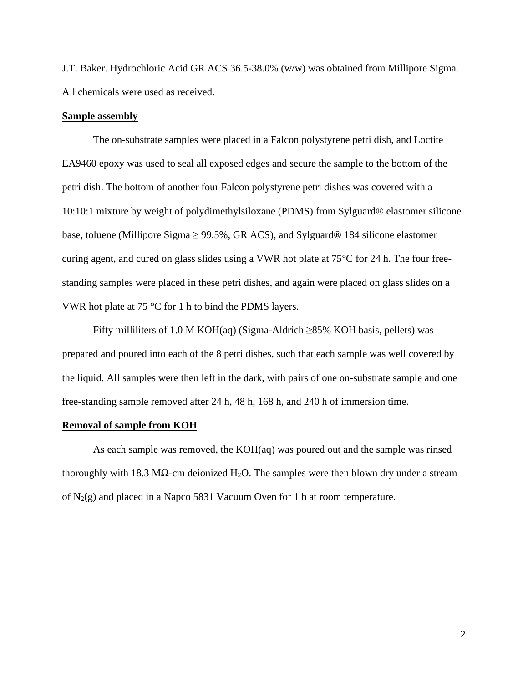J.T. Baker. Hydrochloric Acid GR ACS 36.5-38.0% (w/w) was obtained from Millipore Sigma. All chemicals were used as received.

## **Sample assembly**

The on-substrate samples were placed in a Falcon polystyrene petri dish, and Loctite EA9460 epoxy was used to seal all exposed edges and secure the sample to the bottom of the petri dish. The bottom of another four Falcon polystyrene petri dishes was covered with a 10:10:1 mixture by weight of polydimethylsiloxane (PDMS) from Sylguard® elastomer silicone base, toluene (Millipore Sigma  $\geq$  99.5%, GR ACS), and Sylguard® 184 silicone elastomer curing agent, and cured on glass slides using a VWR hot plate at 75°C for 24 h. The four freestanding samples were placed in these petri dishes, and again were placed on glass slides on a VWR hot plate at 75 °C for 1 h to bind the PDMS layers.

Fifty milliliters of 1.0 M KOH(aq) (Sigma-Aldrich  $\geq$ 85% KOH basis, pellets) was prepared and poured into each of the 8 petri dishes, such that each sample was well covered by the liquid. All samples were then left in the dark, with pairs of one on-substrate sample and one free-standing sample removed after 24 h, 48 h, 168 h, and 240 h of immersion time.

### **Removal of sample from KOH**

As each sample was removed, the KOH(aq) was poured out and the sample was rinsed thoroughly with 18.3 M $\Omega$ -cm deionized H<sub>2</sub>O. The samples were then blown dry under a stream of  $N_2(g)$  and placed in a Napco 5831 Vacuum Oven for 1 h at room temperature.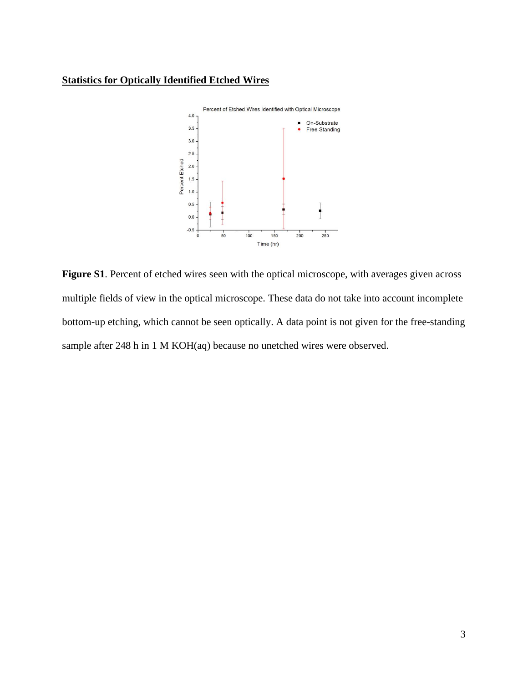# **Statistics for Optically Identified Etched Wires**



Figure S1. Percent of etched wires seen with the optical microscope, with averages given across multiple fields of view in the optical microscope. These data do not take into account incomplete bottom-up etching, which cannot be seen optically. A data point is not given for the free-standing sample after 248 h in 1 M KOH(aq) because no unetched wires were observed.